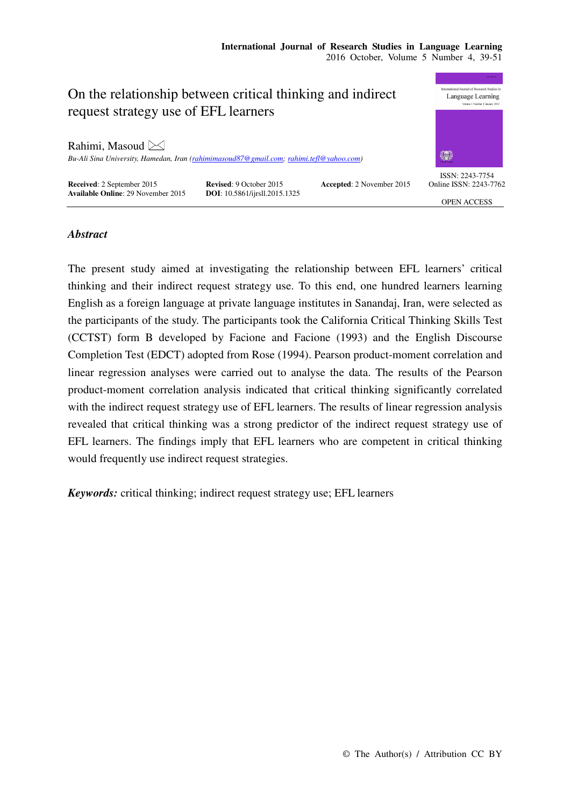

## *Abstract*

The present study aimed at investigating the relationship between EFL learners' critical thinking and their indirect request strategy use. To this end, one hundred learners learning English as a foreign language at private language institutes in Sanandaj, Iran, were selected as the participants of the study. The participants took the California Critical Thinking Skills Test (CCTST) form B developed by Facione and Facione (1993) and the English Discourse Completion Test (EDCT) adopted from Rose (1994). Pearson product-moment correlation and linear regression analyses were carried out to analyse the data. The results of the Pearson product-moment correlation analysis indicated that critical thinking significantly correlated with the indirect request strategy use of EFL learners. The results of linear regression analysis revealed that critical thinking was a strong predictor of the indirect request strategy use of EFL learners. The findings imply that EFL learners who are competent in critical thinking would frequently use indirect request strategies.

*Keywords:* critical thinking; indirect request strategy use; EFL learners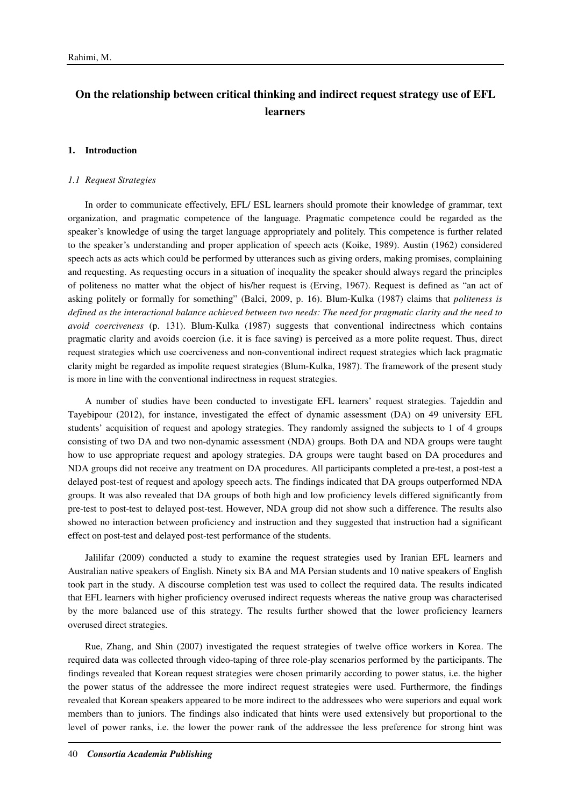# **On the relationship between critical thinking and indirect request strategy use of EFL learners**

#### **1. Introduction**

#### *1.1 Request Strategies*

In order to communicate effectively, EFL/ ESL learners should promote their knowledge of grammar, text organization, and pragmatic competence of the language. Pragmatic competence could be regarded as the speaker's knowledge of using the target language appropriately and politely. This competence is further related to the speaker's understanding and proper application of speech acts (Koike, 1989). Austin (1962) considered speech acts as acts which could be performed by utterances such as giving orders, making promises, complaining and requesting. As requesting occurs in a situation of inequality the speaker should always regard the principles of politeness no matter what the object of his/her request is (Erving, 1967). Request is defined as "an act of asking politely or formally for something" (Balci, 2009, p. 16). Blum-Kulka (1987) claims that *politeness is defined as the interactional balance achieved between two needs: The need for pragmatic clarity and the need to avoid coerciveness* (p. 131). Blum-Kulka (1987) suggests that conventional indirectness which contains pragmatic clarity and avoids coercion (i.e. it is face saving) is perceived as a more polite request. Thus, direct request strategies which use coerciveness and non-conventional indirect request strategies which lack pragmatic clarity might be regarded as impolite request strategies (Blum-Kulka, 1987). The framework of the present study is more in line with the conventional indirectness in request strategies.

A number of studies have been conducted to investigate EFL learners' request strategies. Tajeddin and Tayebipour (2012), for instance, investigated the effect of dynamic assessment (DA) on 49 university EFL students' acquisition of request and apology strategies. They randomly assigned the subjects to 1 of 4 groups consisting of two DA and two non-dynamic assessment (NDA) groups. Both DA and NDA groups were taught how to use appropriate request and apology strategies. DA groups were taught based on DA procedures and NDA groups did not receive any treatment on DA procedures. All participants completed a pre-test, a post-test a delayed post-test of request and apology speech acts. The findings indicated that DA groups outperformed NDA groups. It was also revealed that DA groups of both high and low proficiency levels differed significantly from pre-test to post-test to delayed post-test. However, NDA group did not show such a difference. The results also showed no interaction between proficiency and instruction and they suggested that instruction had a significant effect on post-test and delayed post-test performance of the students.

Jalilifar (2009) conducted a study to examine the request strategies used by Iranian EFL learners and Australian native speakers of English. Ninety six BA and MA Persian students and 10 native speakers of English took part in the study. A discourse completion test was used to collect the required data. The results indicated that EFL learners with higher proficiency overused indirect requests whereas the native group was characterised by the more balanced use of this strategy. The results further showed that the lower proficiency learners overused direct strategies.

Rue, Zhang, and Shin (2007) investigated the request strategies of twelve office workers in Korea. The required data was collected through video-taping of three role-play scenarios performed by the participants. The findings revealed that Korean request strategies were chosen primarily according to power status, i.e. the higher the power status of the addressee the more indirect request strategies were used. Furthermore, the findings revealed that Korean speakers appeared to be more indirect to the addressees who were superiors and equal work members than to juniors. The findings also indicated that hints were used extensively but proportional to the level of power ranks, i.e. the lower the power rank of the addressee the less preference for strong hint was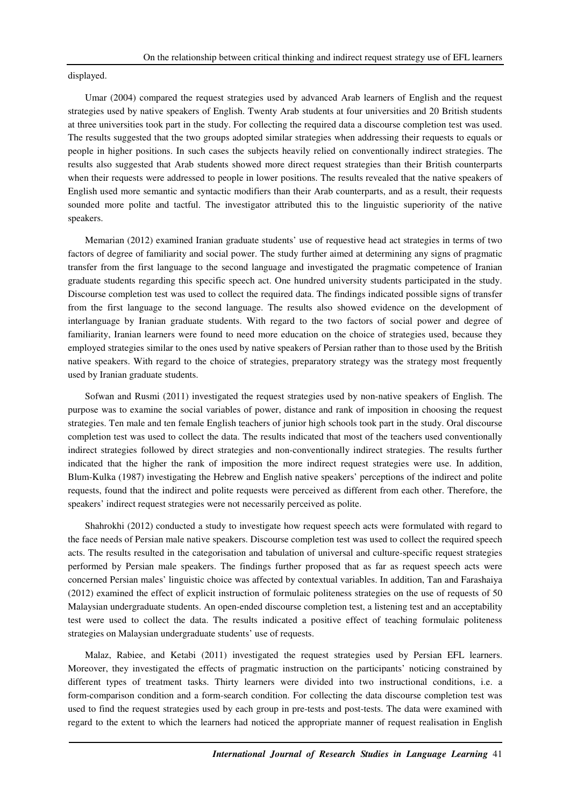displayed.

Umar (2004) compared the request strategies used by advanced Arab learners of English and the request strategies used by native speakers of English. Twenty Arab students at four universities and 20 British students at three universities took part in the study. For collecting the required data a discourse completion test was used. The results suggested that the two groups adopted similar strategies when addressing their requests to equals or people in higher positions. In such cases the subjects heavily relied on conventionally indirect strategies. The results also suggested that Arab students showed more direct request strategies than their British counterparts when their requests were addressed to people in lower positions. The results revealed that the native speakers of English used more semantic and syntactic modifiers than their Arab counterparts, and as a result, their requests sounded more polite and tactful. The investigator attributed this to the linguistic superiority of the native speakers.

Memarian (2012) examined Iranian graduate students' use of requestive head act strategies in terms of two factors of degree of familiarity and social power. The study further aimed at determining any signs of pragmatic transfer from the first language to the second language and investigated the pragmatic competence of Iranian graduate students regarding this specific speech act. One hundred university students participated in the study. Discourse completion test was used to collect the required data. The findings indicated possible signs of transfer from the first language to the second language. The results also showed evidence on the development of interlanguage by Iranian graduate students. With regard to the two factors of social power and degree of familiarity, Iranian learners were found to need more education on the choice of strategies used, because they employed strategies similar to the ones used by native speakers of Persian rather than to those used by the British native speakers. With regard to the choice of strategies, preparatory strategy was the strategy most frequently used by Iranian graduate students.

Sofwan and Rusmi (2011) investigated the request strategies used by non-native speakers of English. The purpose was to examine the social variables of power, distance and rank of imposition in choosing the request strategies. Ten male and ten female English teachers of junior high schools took part in the study. Oral discourse completion test was used to collect the data. The results indicated that most of the teachers used conventionally indirect strategies followed by direct strategies and non-conventionally indirect strategies. The results further indicated that the higher the rank of imposition the more indirect request strategies were use. In addition, Blum-Kulka (1987) investigating the Hebrew and English native speakers' perceptions of the indirect and polite requests, found that the indirect and polite requests were perceived as different from each other. Therefore, the speakers' indirect request strategies were not necessarily perceived as polite.

Shahrokhi (2012) conducted a study to investigate how request speech acts were formulated with regard to the face needs of Persian male native speakers. Discourse completion test was used to collect the required speech acts. The results resulted in the categorisation and tabulation of universal and culture-specific request strategies performed by Persian male speakers. The findings further proposed that as far as request speech acts were concerned Persian males' linguistic choice was affected by contextual variables. In addition, Tan and Farashaiya (2012) examined the effect of explicit instruction of formulaic politeness strategies on the use of requests of 50 Malaysian undergraduate students. An open-ended discourse completion test, a listening test and an acceptability test were used to collect the data. The results indicated a positive effect of teaching formulaic politeness strategies on Malaysian undergraduate students' use of requests.

Malaz, Rabiee, and Ketabi (2011) investigated the request strategies used by Persian EFL learners. Moreover, they investigated the effects of pragmatic instruction on the participants' noticing constrained by different types of treatment tasks. Thirty learners were divided into two instructional conditions, i.e. a form-comparison condition and a form-search condition. For collecting the data discourse completion test was used to find the request strategies used by each group in pre-tests and post-tests. The data were examined with regard to the extent to which the learners had noticed the appropriate manner of request realisation in English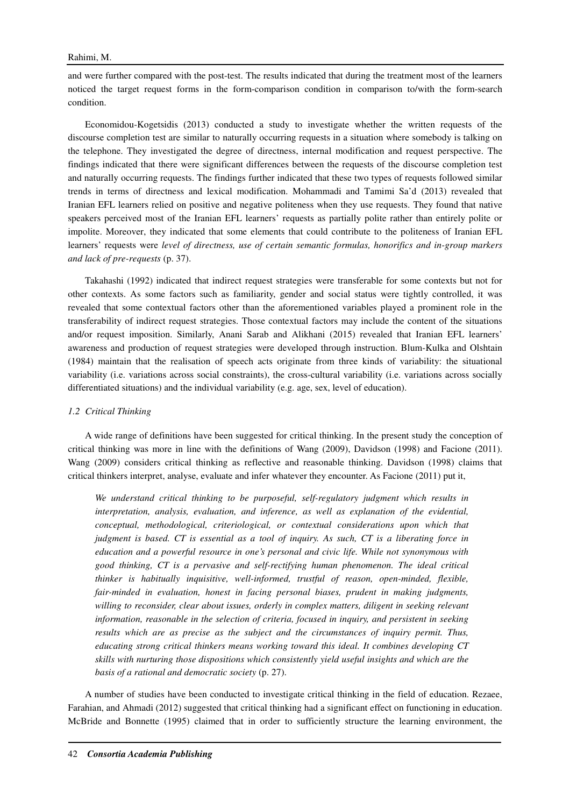and were further compared with the post-test. The results indicated that during the treatment most of the learners noticed the target request forms in the form-comparison condition in comparison to/with the form-search condition.

Economidou-Kogetsidis (2013) conducted a study to investigate whether the written requests of the discourse completion test are similar to naturally occurring requests in a situation where somebody is talking on the telephone. They investigated the degree of directness, internal modification and request perspective. The findings indicated that there were significant differences between the requests of the discourse completion test and naturally occurring requests. The findings further indicated that these two types of requests followed similar trends in terms of directness and lexical modification. Mohammadi and Tamimi Sa'd (2013) revealed that Iranian EFL learners relied on positive and negative politeness when they use requests. They found that native speakers perceived most of the Iranian EFL learners' requests as partially polite rather than entirely polite or impolite. Moreover, they indicated that some elements that could contribute to the politeness of Iranian EFL learners' requests were *level of directness, use of certain semantic formulas, honorifics and in-group markers and lack of pre-requests* (p. 37).

Takahashi (1992) indicated that indirect request strategies were transferable for some contexts but not for other contexts. As some factors such as familiarity, gender and social status were tightly controlled, it was revealed that some contextual factors other than the aforementioned variables played a prominent role in the transferability of indirect request strategies. Those contextual factors may include the content of the situations and/or request imposition. Similarly, Anani Sarab and Alikhani (2015) revealed that Iranian EFL learners' awareness and production of request strategies were developed through instruction. Blum-Kulka and Olshtain (1984) maintain that the realisation of speech acts originate from three kinds of variability: the situational variability (i.e. variations across social constraints), the cross-cultural variability (i.e. variations across socially differentiated situations) and the individual variability (e.g. age, sex, level of education).

#### *1.2 Critical Thinking*

A wide range of definitions have been suggested for critical thinking. In the present study the conception of critical thinking was more in line with the definitions of Wang (2009), Davidson (1998) and Facione (2011). Wang (2009) considers critical thinking as reflective and reasonable thinking. Davidson (1998) claims that critical thinkers interpret, analyse, evaluate and infer whatever they encounter. As Facione (2011) put it,

*We understand critical thinking to be purposeful, self-regulatory judgment which results in interpretation, analysis, evaluation, and inference, as well as explanation of the evidential, conceptual, methodological, criteriological, or contextual considerations upon which that judgment is based. CT is essential as a tool of inquiry. As such, CT is a liberating force in education and a powerful resource in one's personal and civic life. While not synonymous with good thinking, CT is a pervasive and self-rectifying human phenomenon. The ideal critical thinker is habitually inquisitive, well-informed, trustful of reason, open-minded, flexible,*  fair-minded in evaluation, honest in facing personal biases, prudent in making judgments, *willing to reconsider, clear about issues, orderly in complex matters, diligent in seeking relevant information, reasonable in the selection of criteria, focused in inquiry, and persistent in seeking results which are as precise as the subject and the circumstances of inquiry permit. Thus, educating strong critical thinkers means working toward this ideal. It combines developing CT skills with nurturing those dispositions which consistently yield useful insights and which are the basis of a rational and democratic society* (p. 27).

A number of studies have been conducted to investigate critical thinking in the field of education. Rezaee, Farahian, and Ahmadi (2012) suggested that critical thinking had a significant effect on functioning in education. McBride and Bonnette (1995) claimed that in order to sufficiently structure the learning environment, the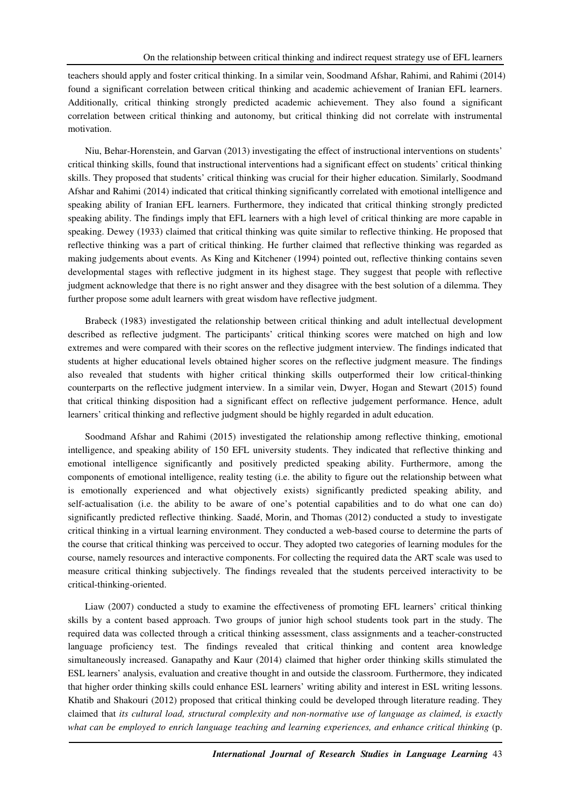teachers should apply and foster critical thinking. In a similar vein, Soodmand Afshar, Rahimi, and Rahimi (2014) found a significant correlation between critical thinking and academic achievement of Iranian EFL learners. Additionally, critical thinking strongly predicted academic achievement. They also found a significant correlation between critical thinking and autonomy, but critical thinking did not correlate with instrumental motivation.

Niu, Behar-Horenstein, and Garvan (2013) investigating the effect of instructional interventions on students' critical thinking skills, found that instructional interventions had a significant effect on students' critical thinking skills. They proposed that students' critical thinking was crucial for their higher education. Similarly, Soodmand Afshar and Rahimi (2014) indicated that critical thinking significantly correlated with emotional intelligence and speaking ability of Iranian EFL learners. Furthermore, they indicated that critical thinking strongly predicted speaking ability. The findings imply that EFL learners with a high level of critical thinking are more capable in speaking. Dewey (1933) claimed that critical thinking was quite similar to reflective thinking. He proposed that reflective thinking was a part of critical thinking. He further claimed that reflective thinking was regarded as making judgements about events. As King and Kitchener (1994) pointed out, reflective thinking contains seven developmental stages with reflective judgment in its highest stage. They suggest that people with reflective judgment acknowledge that there is no right answer and they disagree with the best solution of a dilemma. They further propose some adult learners with great wisdom have reflective judgment.

Brabeck (1983) investigated the relationship between critical thinking and adult intellectual development described as reflective judgment. The participants' critical thinking scores were matched on high and low extremes and were compared with their scores on the reflective judgment interview. The findings indicated that students at higher educational levels obtained higher scores on the reflective judgment measure. The findings also revealed that students with higher critical thinking skills outperformed their low critical-thinking counterparts on the reflective judgment interview. In a similar vein, Dwyer, Hogan and Stewart (2015) found that critical thinking disposition had a significant effect on reflective judgement performance. Hence, adult learners' critical thinking and reflective judgment should be highly regarded in adult education.

Soodmand Afshar and Rahimi (2015) investigated the relationship among reflective thinking, emotional intelligence, and speaking ability of 150 EFL university students. They indicated that reflective thinking and emotional intelligence significantly and positively predicted speaking ability. Furthermore, among the components of emotional intelligence, reality testing (i.e. the ability to figure out the relationship between what is emotionally experienced and what objectively exists) significantly predicted speaking ability, and self-actualisation (i.e. the ability to be aware of one's potential capabilities and to do what one can do) significantly predicted reflective thinking. Saadé, Morin, and Thomas (2012) conducted a study to investigate critical thinking in a virtual learning environment. They conducted a web-based course to determine the parts of the course that critical thinking was perceived to occur. They adopted two categories of learning modules for the course, namely resources and interactive components. For collecting the required data the ART scale was used to measure critical thinking subjectively. The findings revealed that the students perceived interactivity to be critical-thinking-oriented.

Liaw (2007) conducted a study to examine the effectiveness of promoting EFL learners' critical thinking skills by a content based approach. Two groups of junior high school students took part in the study. The required data was collected through a critical thinking assessment, class assignments and a teacher-constructed language proficiency test. The findings revealed that critical thinking and content area knowledge simultaneously increased. Ganapathy and Kaur (2014) claimed that higher order thinking skills stimulated the ESL learners' analysis, evaluation and creative thought in and outside the classroom. Furthermore, they indicated that higher order thinking skills could enhance ESL learners' writing ability and interest in ESL writing lessons. Khatib and Shakouri (2012) proposed that critical thinking could be developed through literature reading. They claimed that *its cultural load, structural complexity and non-normative use of language as claimed, is exactly what can be employed to enrich language teaching and learning experiences, and enhance critical thinking* (p.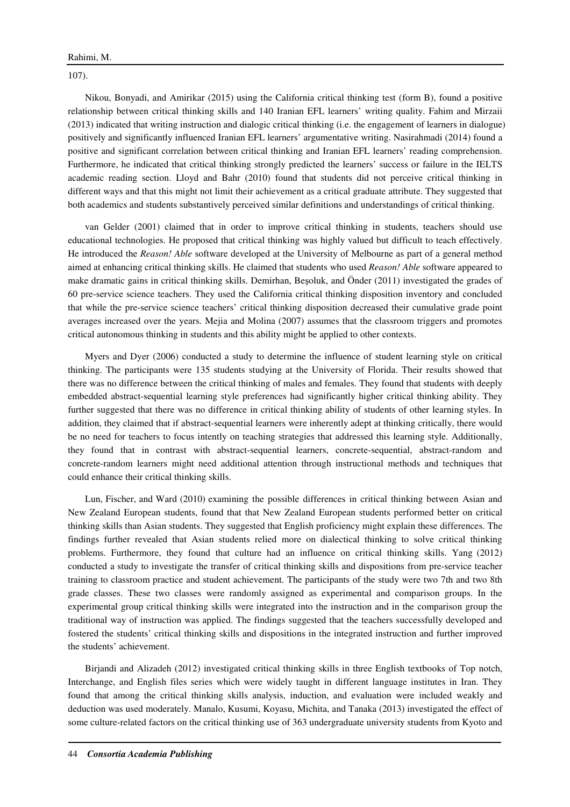107).

Nikou, Bonyadi, and Amirikar (2015) using the California critical thinking test (form B), found a positive relationship between critical thinking skills and 140 Iranian EFL learners' writing quality. Fahim and Mirzaii (2013) indicated that writing instruction and dialogic critical thinking (i.e. the engagement of learners in dialogue) positively and significantly influenced Iranian EFL learners' argumentative writing. Nasirahmadi (2014) found a positive and significant correlation between critical thinking and Iranian EFL learners' reading comprehension. Furthermore, he indicated that critical thinking strongly predicted the learners' success or failure in the IELTS academic reading section. Lloyd and Bahr (2010) found that students did not perceive critical thinking in different ways and that this might not limit their achievement as a critical graduate attribute. They suggested that both academics and students substantively perceived similar definitions and understandings of critical thinking.

van Gelder (2001) claimed that in order to improve critical thinking in students, teachers should use educational technologies. He proposed that critical thinking was highly valued but difficult to teach effectively. He introduced the *Reason! Able* software developed at the University of Melbourne as part of a general method aimed at enhancing critical thinking skills. He claimed that students who used *Reason! Able* software appeared to make dramatic gains in critical thinking skills. Demirhan, Beşoluk, and Önder (2011) investigated the grades of 60 pre-service science teachers. They used the California critical thinking disposition inventory and concluded that while the pre-service science teachers' critical thinking disposition decreased their cumulative grade point averages increased over the years. Mejia and Molina (2007) assumes that the classroom triggers and promotes critical autonomous thinking in students and this ability might be applied to other contexts.

Myers and Dyer (2006) conducted a study to determine the influence of student learning style on critical thinking. The participants were 135 students studying at the University of Florida. Their results showed that there was no difference between the critical thinking of males and females. They found that students with deeply embedded abstract-sequential learning style preferences had significantly higher critical thinking ability. They further suggested that there was no difference in critical thinking ability of students of other learning styles. In addition, they claimed that if abstract-sequential learners were inherently adept at thinking critically, there would be no need for teachers to focus intently on teaching strategies that addressed this learning style. Additionally, they found that in contrast with abstract-sequential learners, concrete-sequential, abstract-random and concrete-random learners might need additional attention through instructional methods and techniques that could enhance their critical thinking skills.

Lun, Fischer, and Ward (2010) examining the possible differences in critical thinking between Asian and New Zealand European students, found that that New Zealand European students performed better on critical thinking skills than Asian students. They suggested that English proficiency might explain these differences. The findings further revealed that Asian students relied more on dialectical thinking to solve critical thinking problems. Furthermore, they found that culture had an influence on critical thinking skills. Yang (2012) conducted a study to investigate the transfer of critical thinking skills and dispositions from pre-service teacher training to classroom practice and student achievement. The participants of the study were two 7th and two 8th grade classes. These two classes were randomly assigned as experimental and comparison groups. In the experimental group critical thinking skills were integrated into the instruction and in the comparison group the traditional way of instruction was applied. The findings suggested that the teachers successfully developed and fostered the students' critical thinking skills and dispositions in the integrated instruction and further improved the students' achievement.

Birjandi and Alizadeh (2012) investigated critical thinking skills in three English textbooks of Top notch, Interchange, and English files series which were widely taught in different language institutes in Iran. They found that among the critical thinking skills analysis, induction, and evaluation were included weakly and deduction was used moderately. Manalo, Kusumi, Koyasu, Michita, and Tanaka (2013) investigated the effect of some culture-related factors on the critical thinking use of 363 undergraduate university students from Kyoto and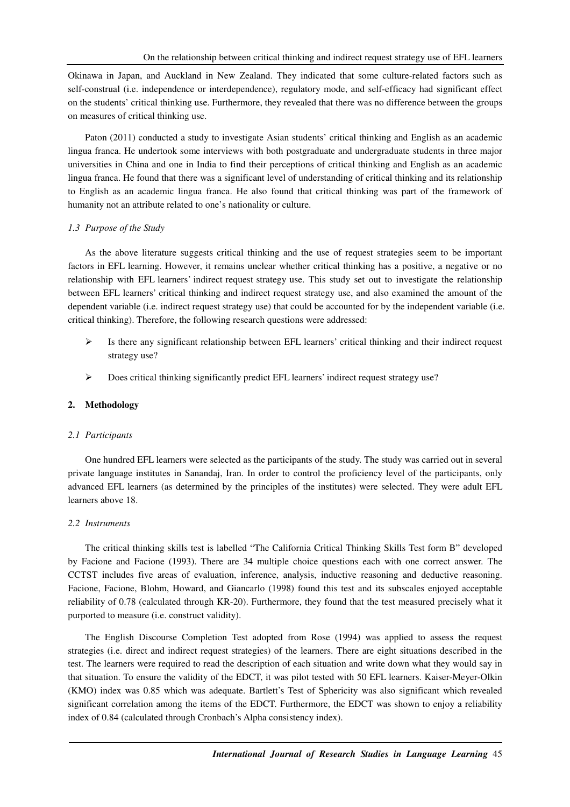Okinawa in Japan, and Auckland in New Zealand. They indicated that some culture-related factors such as self-construal (i.e. independence or interdependence), regulatory mode, and self-efficacy had significant effect on the students' critical thinking use. Furthermore, they revealed that there was no difference between the groups on measures of critical thinking use.

Paton (2011) conducted a study to investigate Asian students' critical thinking and English as an academic lingua franca. He undertook some interviews with both postgraduate and undergraduate students in three major universities in China and one in India to find their perceptions of critical thinking and English as an academic lingua franca. He found that there was a significant level of understanding of critical thinking and its relationship to English as an academic lingua franca. He also found that critical thinking was part of the framework of humanity not an attribute related to one's nationality or culture.

## *1.3 Purpose of the Study*

As the above literature suggests critical thinking and the use of request strategies seem to be important factors in EFL learning. However, it remains unclear whether critical thinking has a positive, a negative or no relationship with EFL learners' indirect request strategy use. This study set out to investigate the relationship between EFL learners' critical thinking and indirect request strategy use, and also examined the amount of the dependent variable (i.e. indirect request strategy use) that could be accounted for by the independent variable (i.e. critical thinking). Therefore, the following research questions were addressed:

- $\triangleright$  Is there any significant relationship between EFL learners' critical thinking and their indirect request strategy use?
- Does critical thinking significantly predict EFL learners' indirect request strategy use?

### **2. Methodology**

#### *2.1 Participants*

One hundred EFL learners were selected as the participants of the study. The study was carried out in several private language institutes in Sanandaj, Iran. In order to control the proficiency level of the participants, only advanced EFL learners (as determined by the principles of the institutes) were selected. They were adult EFL learners above 18.

#### *2.2 Instruments*

The critical thinking skills test is labelled "The California Critical Thinking Skills Test form B" developed by Facione and Facione (1993). There are 34 multiple choice questions each with one correct answer. The CCTST includes five areas of evaluation, inference, analysis, inductive reasoning and deductive reasoning. Facione, Facione, Blohm, Howard, and Giancarlo (1998) found this test and its subscales enjoyed acceptable reliability of 0.78 (calculated through KR-20). Furthermore, they found that the test measured precisely what it purported to measure (i.e. construct validity).

The English Discourse Completion Test adopted from Rose (1994) was applied to assess the request strategies (i.e. direct and indirect request strategies) of the learners. There are eight situations described in the test. The learners were required to read the description of each situation and write down what they would say in that situation. To ensure the validity of the EDCT, it was pilot tested with 50 EFL learners. Kaiser-Meyer-Olkin (KMO) index was 0.85 which was adequate. Bartlett's Test of Sphericity was also significant which revealed significant correlation among the items of the EDCT. Furthermore, the EDCT was shown to enjoy a reliability index of 0.84 (calculated through Cronbach's Alpha consistency index).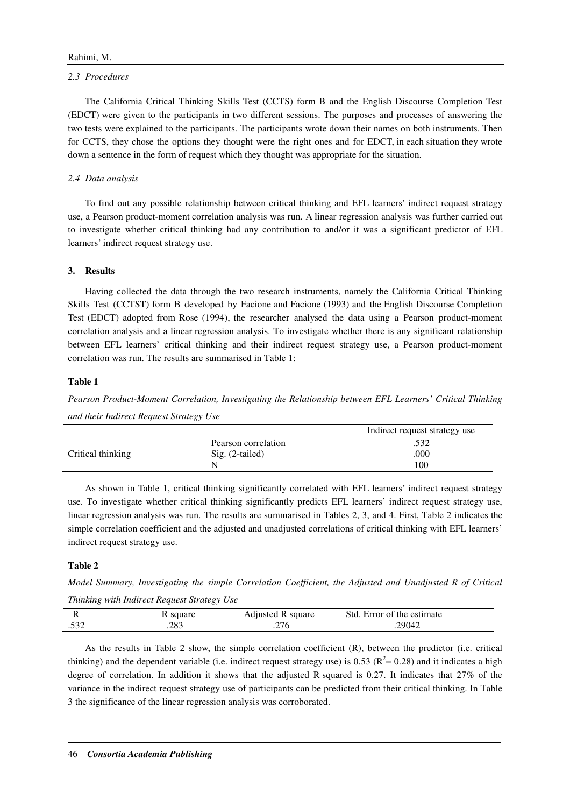#### *2.3 Procedures*

The California Critical Thinking Skills Test (CCTS) form B and the English Discourse Completion Test (EDCT) were given to the participants in two different sessions. The purposes and processes of answering the two tests were explained to the participants. The participants wrote down their names on both instruments. Then for CCTS, they chose the options they thought were the right ones and for EDCT, in each situation they wrote down a sentence in the form of request which they thought was appropriate for the situation.

## *2.4 Data analysis*

To find out any possible relationship between critical thinking and EFL learners' indirect request strategy use, a Pearson product-moment correlation analysis was run. A linear regression analysis was further carried out to investigate whether critical thinking had any contribution to and/or it was a significant predictor of EFL learners' indirect request strategy use.

## **3. Results**

Having collected the data through the two research instruments, namely the California Critical Thinking Skills Test (CCTST) form B developed by Facione and Facione (1993) and the English Discourse Completion Test (EDCT) adopted from Rose (1994), the researcher analysed the data using a Pearson product-moment correlation analysis and a linear regression analysis. To investigate whether there is any significant relationship between EFL learners' critical thinking and their indirect request strategy use, a Pearson product-moment correlation was run. The results are summarised in Table 1:

## **Table 1**

*Pearson Product-Moment Correlation, Investigating the Relationship between EFL Learners' Critical Thinking and their Indirect Request Strategy Use* 

|                   |                     | Indirect request strategy use |
|-------------------|---------------------|-------------------------------|
|                   | Pearson correlation | .532                          |
| Critical thinking | $Sig. (2-tailed)$   | .000                          |
|                   |                     | 100                           |

As shown in Table 1, critical thinking significantly correlated with EFL learners' indirect request strategy use. To investigate whether critical thinking significantly predicts EFL learners' indirect request strategy use, linear regression analysis was run. The results are summarised in Tables 2, 3, and 4. First, Table 2 indicates the simple correlation coefficient and the adjusted and unadjusted correlations of critical thinking with EFL learners' indirect request strategy use.

#### **Table 2**

*Model Summary, Investigating the simple Correlation Coefficient, the Adjusted and Unadjusted R of Critical Thinking with Indirect Request Strategy Use* 

|     |             | uare   | ٠t٢<br>mate<br>the<br>⊦rr∩f<br>$\sim$ $\sim$<br>N1<br>.<br>$\sim$ $\sim$ $\sim$ |  |
|-----|-------------|--------|---------------------------------------------------------------------------------|--|
| ے ت | ററ<br>ت ن∠. | $\sim$ | 2004                                                                            |  |

As the results in Table 2 show, the simple correlation coefficient (R), between the predictor (i.e. critical thinking) and the dependent variable (i.e. indirect request strategy use) is 0.53 ( $R^2$  = 0.28) and it indicates a high degree of correlation. In addition it shows that the adjusted R squared is 0.27. It indicates that 27% of the variance in the indirect request strategy use of participants can be predicted from their critical thinking. In Table 3 the significance of the linear regression analysis was corroborated.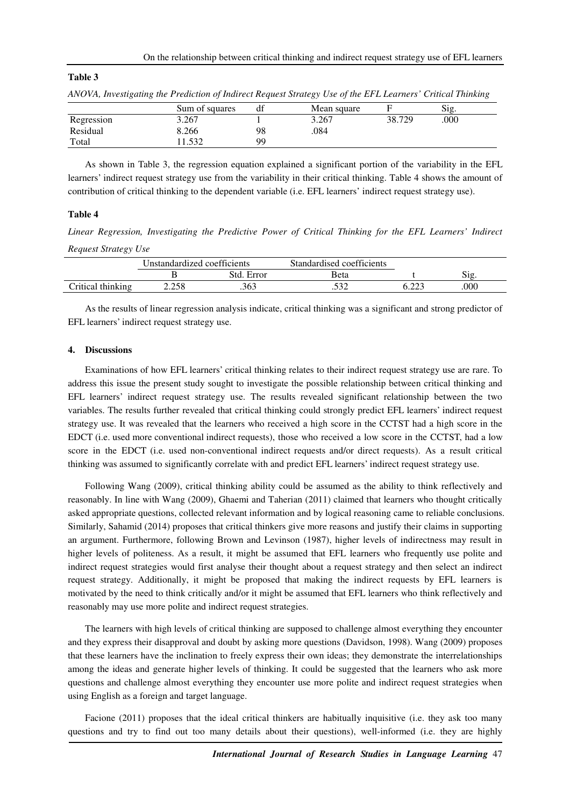|            | $\cdot$ |                |           | ◡           |        |      | ◡ |
|------------|---------|----------------|-----------|-------------|--------|------|---|
|            |         | Sum of squares | df        | Mean square |        | Sig. |   |
| Regression |         | 3.267          |           | 3.267       | 38.729 | .000 |   |
| Residual   |         | 8.266          | 98        | .084        |        |      |   |
| Total      |         | 1532           | <b>QQ</b> |             |        |      |   |

| ANOVA, Investigating the Prediction of Indirect Request Strategy Use of the EFL Learners' Critical Thinking |  |  |  |  |
|-------------------------------------------------------------------------------------------------------------|--|--|--|--|
|-------------------------------------------------------------------------------------------------------------|--|--|--|--|

As shown in Table 3, the regression equation explained a significant portion of the variability in the EFL learners' indirect request strategy use from the variability in their critical thinking. Table 4 shows the amount of contribution of critical thinking to the dependent variable (i.e. EFL learners' indirect request strategy use).

#### **Table 4**

**Table 3** 

*Linear Regression, Investigating the Predictive Power of Critical Thinking for the EFL Learners' Indirect Request Strategy Use* 

|                   | Unstandardized coefficients |               | Standardised coefficients |                   |      |  |
|-------------------|-----------------------------|---------------|---------------------------|-------------------|------|--|
|                   |                             | Std.<br>Error | Beta                      |                   | 512  |  |
| Critical thinking | 2.258                       | .363          | こつつ<br>ے ب                | $\sim$ 0.0 $\sim$ | .000 |  |

As the results of linear regression analysis indicate, critical thinking was a significant and strong predictor of EFL learners' indirect request strategy use.

#### **4. Discussions**

Examinations of how EFL learners' critical thinking relates to their indirect request strategy use are rare. To address this issue the present study sought to investigate the possible relationship between critical thinking and EFL learners' indirect request strategy use. The results revealed significant relationship between the two variables. The results further revealed that critical thinking could strongly predict EFL learners' indirect request strategy use. It was revealed that the learners who received a high score in the CCTST had a high score in the EDCT (i.e. used more conventional indirect requests), those who received a low score in the CCTST, had a low score in the EDCT (i.e. used non-conventional indirect requests and/or direct requests). As a result critical thinking was assumed to significantly correlate with and predict EFL learners' indirect request strategy use.

Following Wang (2009), critical thinking ability could be assumed as the ability to think reflectively and reasonably. In line with Wang (2009), Ghaemi and Taherian (2011) claimed that learners who thought critically asked appropriate questions, collected relevant information and by logical reasoning came to reliable conclusions. Similarly, Sahamid (2014) proposes that critical thinkers give more reasons and justify their claims in supporting an argument. Furthermore, following Brown and Levinson (1987), higher levels of indirectness may result in higher levels of politeness. As a result, it might be assumed that EFL learners who frequently use polite and indirect request strategies would first analyse their thought about a request strategy and then select an indirect request strategy. Additionally, it might be proposed that making the indirect requests by EFL learners is motivated by the need to think critically and/or it might be assumed that EFL learners who think reflectively and reasonably may use more polite and indirect request strategies.

The learners with high levels of critical thinking are supposed to challenge almost everything they encounter and they express their disapproval and doubt by asking more questions (Davidson, 1998). Wang (2009) proposes that these learners have the inclination to freely express their own ideas; they demonstrate the interrelationships among the ideas and generate higher levels of thinking. It could be suggested that the learners who ask more questions and challenge almost everything they encounter use more polite and indirect request strategies when using English as a foreign and target language.

Facione (2011) proposes that the ideal critical thinkers are habitually inquisitive (i.e. they ask too many questions and try to find out too many details about their questions), well-informed (i.e. they are highly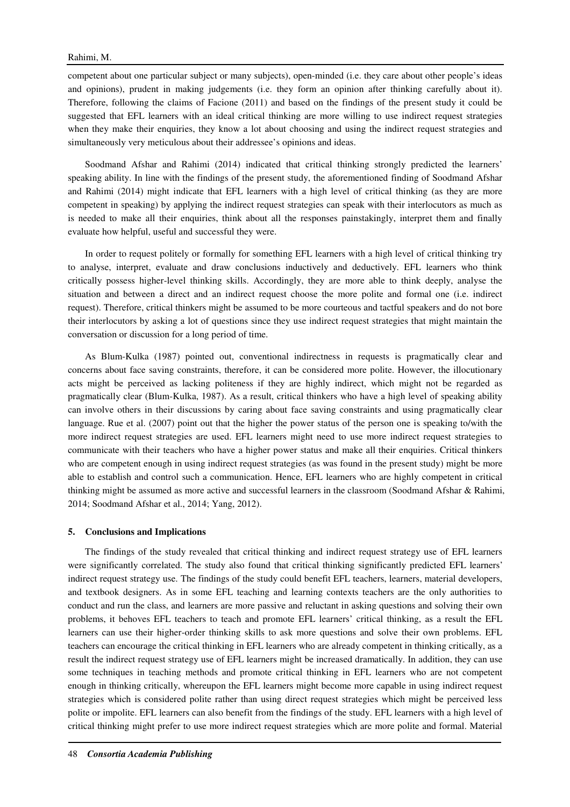competent about one particular subject or many subjects), open-minded (i.e. they care about other people's ideas and opinions), prudent in making judgements (i.e. they form an opinion after thinking carefully about it). Therefore, following the claims of Facione (2011) and based on the findings of the present study it could be suggested that EFL learners with an ideal critical thinking are more willing to use indirect request strategies when they make their enquiries, they know a lot about choosing and using the indirect request strategies and simultaneously very meticulous about their addressee's opinions and ideas.

Soodmand Afshar and Rahimi (2014) indicated that critical thinking strongly predicted the learners' speaking ability. In line with the findings of the present study, the aforementioned finding of Soodmand Afshar and Rahimi (2014) might indicate that EFL learners with a high level of critical thinking (as they are more competent in speaking) by applying the indirect request strategies can speak with their interlocutors as much as is needed to make all their enquiries, think about all the responses painstakingly, interpret them and finally evaluate how helpful, useful and successful they were.

In order to request politely or formally for something EFL learners with a high level of critical thinking try to analyse, interpret, evaluate and draw conclusions inductively and deductively. EFL learners who think critically possess higher-level thinking skills. Accordingly, they are more able to think deeply, analyse the situation and between a direct and an indirect request choose the more polite and formal one (i.e. indirect request). Therefore, critical thinkers might be assumed to be more courteous and tactful speakers and do not bore their interlocutors by asking a lot of questions since they use indirect request strategies that might maintain the conversation or discussion for a long period of time.

As Blum-Kulka (1987) pointed out, conventional indirectness in requests is pragmatically clear and concerns about face saving constraints, therefore, it can be considered more polite. However, the illocutionary acts might be perceived as lacking politeness if they are highly indirect, which might not be regarded as pragmatically clear (Blum-Kulka, 1987). As a result, critical thinkers who have a high level of speaking ability can involve others in their discussions by caring about face saving constraints and using pragmatically clear language. Rue et al. (2007) point out that the higher the power status of the person one is speaking to/with the more indirect request strategies are used. EFL learners might need to use more indirect request strategies to communicate with their teachers who have a higher power status and make all their enquiries. Critical thinkers who are competent enough in using indirect request strategies (as was found in the present study) might be more able to establish and control such a communication. Hence, EFL learners who are highly competent in critical thinking might be assumed as more active and successful learners in the classroom (Soodmand Afshar & Rahimi, 2014; Soodmand Afshar et al., 2014; Yang, 2012).

#### **5. Conclusions and Implications**

The findings of the study revealed that critical thinking and indirect request strategy use of EFL learners were significantly correlated. The study also found that critical thinking significantly predicted EFL learners' indirect request strategy use. The findings of the study could benefit EFL teachers, learners, material developers, and textbook designers. As in some EFL teaching and learning contexts teachers are the only authorities to conduct and run the class, and learners are more passive and reluctant in asking questions and solving their own problems, it behoves EFL teachers to teach and promote EFL learners' critical thinking, as a result the EFL learners can use their higher-order thinking skills to ask more questions and solve their own problems. EFL teachers can encourage the critical thinking in EFL learners who are already competent in thinking critically, as a result the indirect request strategy use of EFL learners might be increased dramatically. In addition, they can use some techniques in teaching methods and promote critical thinking in EFL learners who are not competent enough in thinking critically, whereupon the EFL learners might become more capable in using indirect request strategies which is considered polite rather than using direct request strategies which might be perceived less polite or impolite. EFL learners can also benefit from the findings of the study. EFL learners with a high level of critical thinking might prefer to use more indirect request strategies which are more polite and formal. Material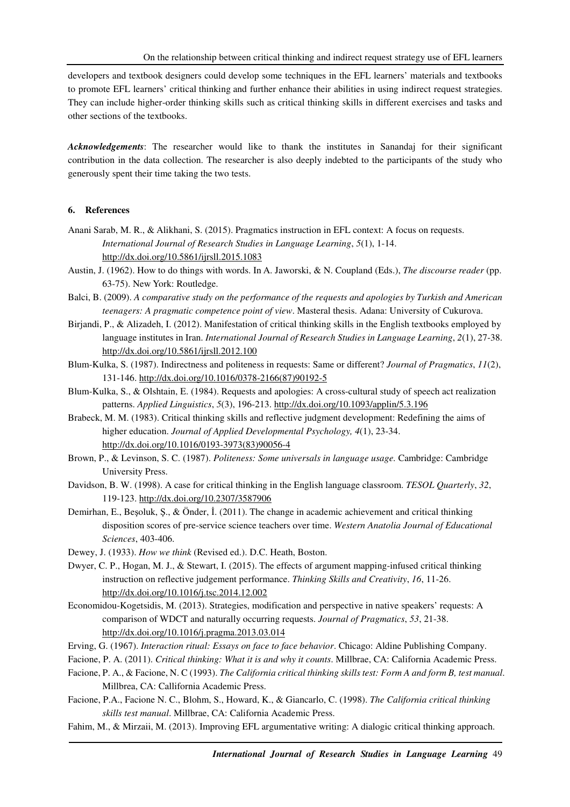developers and textbook designers could develop some techniques in the EFL learners' materials and textbooks to promote EFL learners' critical thinking and further enhance their abilities in using indirect request strategies. They can include higher-order thinking skills such as critical thinking skills in different exercises and tasks and other sections of the textbooks.

*Acknowledgements*: The researcher would like to thank the institutes in Sanandaj for their significant contribution in the data collection. The researcher is also deeply indebted to the participants of the study who generously spent their time taking the two tests.

## **6. References**

- Anani Sarab, M. R., & Alikhani, S. (2015). Pragmatics instruction in EFL context: A focus on requests. *International Journal of Research Studies in Language Learning*, *5*(1), 1-14. http://dx.doi.org/10.5861/ijrsll.2015.1083
- Austin, J. (1962). How to do things with words. In A. Jaworski, & N. Coupland (Eds.), *The discourse reader* (pp. 63-75). New York: Routledge.
- Balci, B. (2009). *A comparative study on the performance of the requests and apologies by Turkish and American teenagers: A pragmatic competence point of view*. Masteral thesis. Adana: University of Cukurova.
- Birjandi, P., & Alizadeh, I. (2012). Manifestation of critical thinking skills in the English textbooks employed by language institutes in Iran. *International Journal of Research Studies in Language Learning*, *2*(1), 27-38. http://dx.doi.org/10.5861/ijrsll.2012.100
- Blum-Kulka, S. (1987). Indirectness and politeness in requests: Same or different? *Journal of Pragmatics*, *11*(2), 131-146. http://dx.doi.org/10.1016/0378-2166(87)90192-5
- Blum-Kulka, S., & Olshtain, E. (1984). Requests and apologies: A cross-cultural study of speech act realization patterns. *Applied Linguistics*, *5*(3), 196-213. http://dx.doi.org/10.1093/applin/5.3.196
- Brabeck, M. M. (1983). Critical thinking skills and reflective judgment development: Redefining the aims of higher education. *Journal of Applied Developmental Psychology, 4*(1), 23-34. http://dx.doi.org/10.1016/0193-3973(83)90056-4
- Brown, P., & Levinson, S. C. (1987). *Politeness: Some universals in language usage.* Cambridge: Cambridge University Press.
- Davidson, B. W. (1998). A case for critical thinking in the English language classroom. *TESOL Quarterly*, *32*, 119-123. http://dx.doi.org/10.2307/3587906
- Demirhan, E., Beşoluk, Ş., & Önder, İ. (2011). The change in academic achievement and critical thinking disposition scores of pre-service science teachers over time. *Western Anatolia Journal of Educational Sciences*, 403-406.
- Dewey, J. (1933). *How we think* (Revised ed.). D.C. Heath, Boston.
- Dwyer, C. P., Hogan, M. J., & Stewart, I. (2015). The effects of argument mapping-infused critical thinking instruction on reflective judgement performance. *Thinking Skills and Creativity*, *16*, 11-26. http://dx.doi.org/10.1016/j.tsc.2014.12.002
- Economidou-Kogetsidis, M. (2013). Strategies, modification and perspective in native speakers' requests: A comparison of WDCT and naturally occurring requests. *Journal of Pragmatics*, *53*, 21-38. http://dx.doi.org/10.1016/j.pragma.2013.03.014
- Erving, G. (1967). *Interaction ritual: Essays on face to face behavior*. Chicago: Aldine Publishing Company.
- Facione, P. A. (2011). *Critical thinking: What it is and why it counts*. Millbrae, CA: California Academic Press.
- Facione, P. A., & Facione, N. C (1993). *The California critical thinking skills test: Form A and form B, test manual*. Millbrea, CA: Callifornia Academic Press.
- Facione, P.A., Facione N. C., Blohm, S., Howard, K., & Giancarlo, C. (1998). *The California critical thinking skills test manual*. Millbrae, CA: California Academic Press.
- Fahim, M., & Mirzaii, M. (2013). Improving EFL argumentative writing: A dialogic critical thinking approach.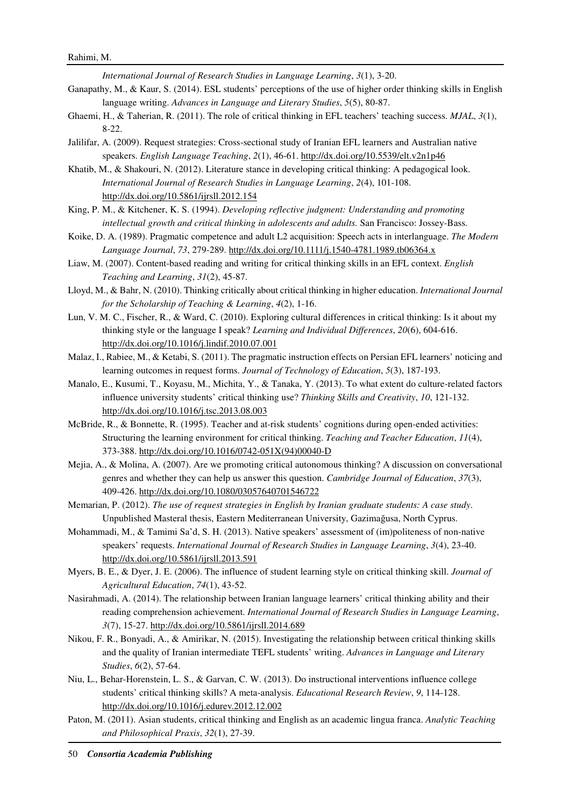*International Journal of Research Studies in Language Learning*, *3*(1), 3-20.

- Ganapathy, M., & Kaur, S. (2014). ESL students' perceptions of the use of higher order thinking skills in English language writing. *Advances in Language and Literary Studies*, *5*(5), 80-87.
- Ghaemi, H., & Taherian, R. (2011). The role of critical thinking in EFL teachers' teaching success. *MJAL*, *3*(1), 8-22.
- Jalilifar, A. (2009). Request strategies: Cross-sectional study of Iranian EFL learners and Australian native speakers. *English Language Teaching*, *2*(1), 46-61. http://dx.doi.org/10.5539/elt.v2n1p46
- Khatib, M., & Shakouri, N. (2012). Literature stance in developing critical thinking: A pedagogical look. *International Journal of Research Studies in Language Learning*, *2*(4), 101-108. http://dx.doi.org/10.5861/ijrsll.2012.154
- King, P. M., & Kitchener, K. S. (1994). *Developing reflective judgment: Understanding and promoting intellectual growth and critical thinking in adolescents and adults.* San Francisco: Jossey-Bass.
- Koike, D. A. (1989). Pragmatic competence and adult L2 acquisition: Speech acts in interlanguage. *The Modern Language Journal*, *73*, 279-289. http://dx.doi.org/10.1111/j.1540-4781.1989.tb06364.x
- Liaw, M. (2007). Content-based reading and writing for critical thinking skills in an EFL context. *English Teaching and Learning*, *31*(2), 45-87.
- Lloyd, M., & Bahr, N. (2010). Thinking critically about critical thinking in higher education. *International Journal for the Scholarship of Teaching & Learning*, *4*(2), 1-16.
- Lun, V. M. C., Fischer, R., & Ward, C. (2010). Exploring cultural differences in critical thinking: Is it about my thinking style or the language I speak? *Learning and Individual Differences*, *20*(6), 604-616. http://dx.doi.org/10.1016/j.lindif.2010.07.001
- Malaz, I., Rabiee, M., & Ketabi, S. (2011). The pragmatic instruction effects on Persian EFL learners' noticing and learning outcomes in request forms. *Journal of Technology of Education*, *5*(3), 187-193.
- Manalo, E., Kusumi, T., Koyasu, M., Michita, Y., & Tanaka, Y. (2013). To what extent do culture-related factors influence university students' critical thinking use? *Thinking Skills and Creativity*, *10*, 121-132. http://dx.doi.org/10.1016/j.tsc.2013.08.003
- McBride, R., & Bonnette, R. (1995). Teacher and at-risk students' cognitions during open-ended activities: Structuring the learning environment for critical thinking. *Teaching and Teacher Education*, *11*(4), 373-388. http://dx.doi.org/10.1016/0742-051X(94)00040-D
- Mejia, A., & Molina, A. (2007). Are we promoting critical autonomous thinking? A discussion on conversational genres and whether they can help us answer this question. *Cambridge Journal of Education*, *37*(3), 409-426. http://dx.doi.org/10.1080/03057640701546722
- Memarian, P. (2012). *The use of request strategies in English by Iranian graduate students: A case study*. Unpublished Masteral thesis, Eastern Mediterranean University, Gazimağusa, North Cyprus.
- Mohammadi, M., & Tamimi Sa'd, S. H. (2013). Native speakers' assessment of (im)politeness of non-native speakers' requests. *International Journal of Research Studies in Language Learning*, *3*(4), 23-40. http://dx.doi.org/10.5861/ijrsll.2013.591
- Myers, B. E., & Dyer, J. E. (2006). The influence of student learning style on critical thinking skill. *Journal of Agricultural Education*, *74*(1), 43-52.
- Nasirahmadi, A. (2014). The relationship between Iranian language learners' critical thinking ability and their reading comprehension achievement. *International Journal of Research Studies in Language Learning*, *3*(7), 15-27. http://dx.doi.org/10.5861/ijrsll.2014.689
- Nikou, F. R., Bonyadi, A., & Amirikar, N. (2015). Investigating the relationship between critical thinking skills and the quality of Iranian intermediate TEFL students' writing. *Advances in Language and Literary Studies*, *6*(2), 57-64.
- Niu, L., Behar-Horenstein, L. S., & Garvan, C. W. (2013). Do instructional interventions influence college students' critical thinking skills? A meta-analysis. *Educational Research Review*, *9*, 114-128. http://dx.doi.org/10.1016/j.edurev.2012.12.002
- Paton, M. (2011). Asian students, critical thinking and English as an academic lingua franca. *Analytic Teaching and Philosophical Praxis*, *32*(1), 27-39.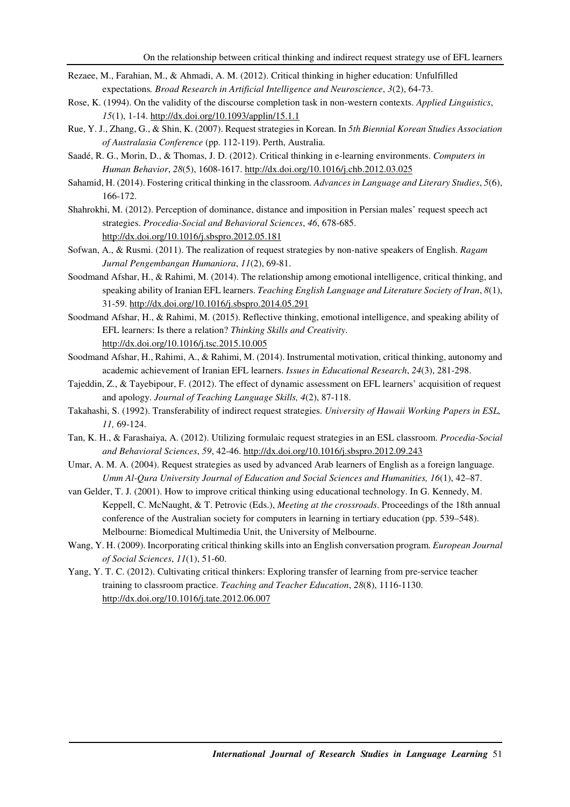- Rezaee, M., Farahian, M., & Ahmadi, A. M. (2012). Critical thinking in higher education: Unfulfilled expectations*. Broad Research in Artificial Intelligence and Neuroscience*, *3*(2), 64-73.
- Rose, K. (1994). On the validity of the discourse completion task in non-western contexts. *Applied Linguistics*, *15*(1), 1-14. http://dx.doi.org/10.1093/applin/15.1.1
- Rue, Y. J., Zhang, G., & Shin, K. (2007). Request strategies in Korean. In *5th Biennial Korean Studies Association of Australasia Conference* (pp. 112-119). Perth, Australia.
- Saadé, R. G., Morin, D., & Thomas, J. D. (2012). Critical thinking in e-learning environments. *Computers in Human Behavior*, *28*(5), 1608-1617. http://dx.doi.org/10.1016/j.chb.2012.03.025
- Sahamid, H. (2014). Fostering critical thinking in the classroom. *Advances in Language and Literary Studies*, *5*(6), 166-172.
- Shahrokhi, M. (2012). Perception of dominance, distance and imposition in Persian males' request speech act strategies. *Procedia-Social and Behavioral Sciences*, *46*, 678-685. http://dx.doi.org/10.1016/j.sbspro.2012.05.181
- Sofwan, A., & Rusmi. (2011). The realization of request strategies by non-native speakers of English. *Ragam Jurnal Pengembangan Humaniora*, *11*(2), 69-81.
- Soodmand Afshar, H., & Rahimi, M. (2014). The relationship among emotional intelligence, critical thinking, and speaking ability of Iranian EFL learners. *Teaching English Language and Literature Society of Iran*, *8*(1), 31-59. http://dx.doi.org/10.1016/j.sbspro.2014.05.291
- Soodmand Afshar, H., & Rahimi, M. (2015). Reflective thinking, emotional intelligence, and speaking ability of EFL learners: Is there a relation? *Thinking Skills and Creativity*. http://dx.doi.org/10.1016/j.tsc.2015.10.005
- Soodmand Afshar, H., Rahimi, A., & Rahimi, M. (2014). Instrumental motivation, critical thinking, autonomy and academic achievement of Iranian EFL learners. *Issues in Educational Research*, *24*(3), 281-298.
- Tajeddin, Z., & Tayebipour, F. (2012). The effect of dynamic assessment on EFL learners' acquisition of request and apology. *Journal of Teaching Language Skills, 4*(2), 87-118.
- Takahashi, S. (1992). Transferability of indirect request strategies. *University of Hawaii Working Papers in ESL, 11,* 69-124.
- Tan, K. H., & Farashaiya, A. (2012). Utilizing formulaic request strategies in an ESL classroom. *Procedia-Social and Behavioral Sciences*, *59*, 42-46. http://dx.doi.org/10.1016/j.sbspro.2012.09.243
- Umar, A. M. A. (2004). Request strategies as used by advanced Arab learners of English as a foreign language. *Umm Al-Qura University Journal of Education and Social Sciences and Humanities, 16*(1), 42–87.
- van Gelder, T. J. (2001). How to improve critical thinking using educational technology. In G. Kennedy, M. Keppell, C. McNaught, & T. Petrovic (Eds.), *Meeting at the crossroads*. Proceedings of the 18th annual conference of the Australian society for computers in learning in tertiary education (pp. 539–548). Melbourne: Biomedical Multimedia Unit, the University of Melbourne.
- Wang, Y. H. (2009). Incorporating critical thinking skills into an English conversation program. *European Journal of Social Sciences*, *11*(1), 51-60.
- Yang, Y. T. C. (2012). Cultivating critical thinkers: Exploring transfer of learning from pre-service teacher training to classroom practice. *Teaching and Teacher Education*, *28*(8), 1116-1130. http://dx.doi.org/10.1016/j.tate.2012.06.007